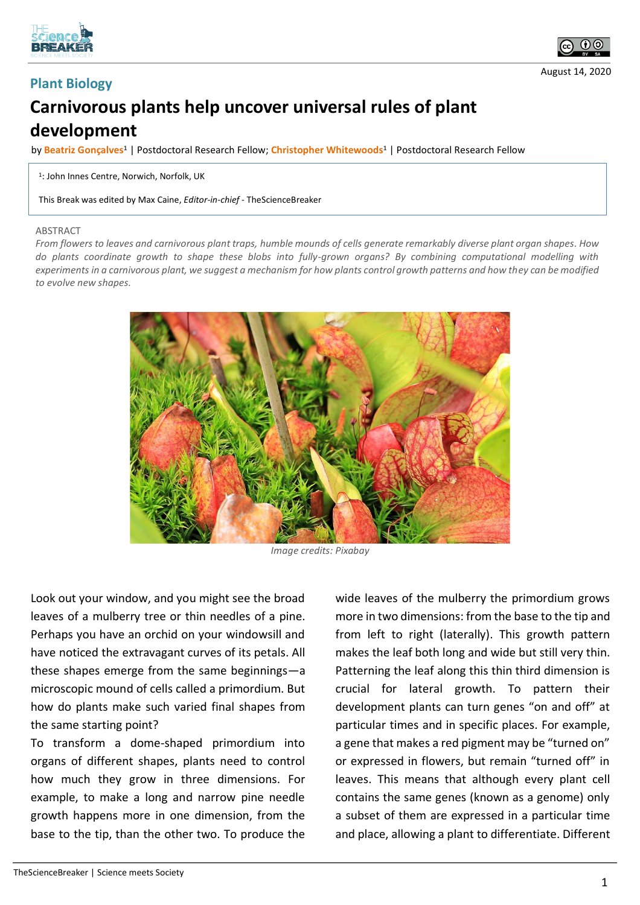

**Plant Biology**



## **Carnivorous plants help uncover universal rules of plant development**

by **Beatriz Gonçalves<sup>1</sup>** | Postdoctoral Research Fellow; **Christopher Whitewoods<sup>1</sup>** | Postdoctoral Research Fellow

1 : John Innes Centre, Norwich, Norfolk, UK

This Break was edited by Max Caine, *Editor-in-chief* - TheScienceBreaker

## ABSTRACT

*From flowers to leaves and carnivorous plant traps, humble mounds of cells generate remarkably diverse plant organ shapes. How do plants coordinate growth to shape these blobs into fully-grown organs? By combining computational modelling with experiments in a carnivorous plant, we suggest a mechanism for how plants control growth patterns and how they can be modified to evolve new shapes.*



*Image credits: Pixabay*

Look out your window, and you might see the broad leaves of a mulberry tree or thin needles of a pine. Perhaps you have an orchid on your windowsill and have noticed the extravagant curves of its petals. All these shapes emerge from the same beginnings—a microscopic mound of cells called a primordium. But how do plants make such varied final shapes from the same starting point?

To transform a dome-shaped primordium into organs of different shapes, plants need to control how much they grow in three dimensions. For example, to make a long and narrow pine needle growth happens more in one dimension, from the base to the tip, than the other two. To produce the

wide leaves of the mulberry the primordium grows more in two dimensions: from the base to the tip and from left to right (laterally). This growth pattern makes the leaf both long and wide but still very thin. Patterning the leaf along this thin third dimension is crucial for lateral growth. To pattern their development plants can turn genes "on and off" at particular times and in specific places. For example, a gene that makes a red pigment may be "turned on" or expressed in flowers, but remain "turned off" in leaves. This means that although every plant cell contains the same genes (known as a genome) only a subset of them are expressed in a particular time and place, allowing a plant to differentiate. Different